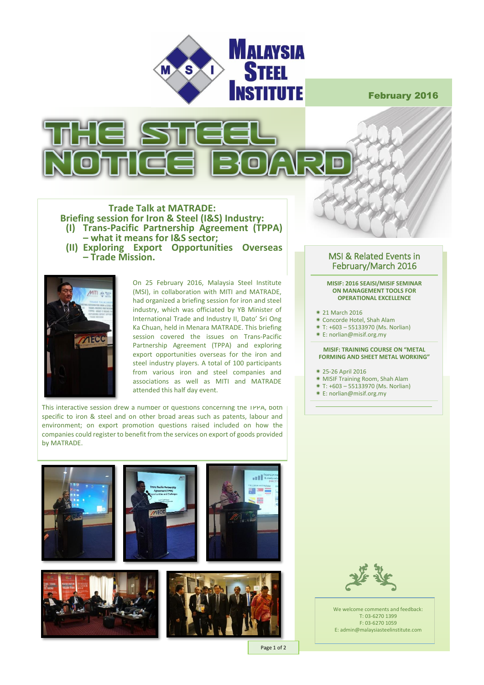

February 2016



## **Trade Talk at MATRADE: Briefing session for Iron & Steel (I&S) Industry: (I) Trans-Pacific Partnership Agreement (TPPA) – what it means for I&S sector; (II) Exploring Export Opportunities Overseas – Trade Mission.**



On 25 February 2016, Malaysia Steel Institute (MSI), in collaboration with MITI and MATRADE, had organized a briefing session for iron and steel industry, which was officiated by YB Minister of International Trade and Industry II, Dato' Sri Ong Ka Chuan, held in Menara MATRADE. This briefing session covered the issues on Trans-Pacific Partnership Agreement (TPPA) and exploring export opportunities overseas for the iron and steel industry players. A total of 100 participants from various iron and steel companies and associations as well as MITI and MATRADE attended this half day event.

This interactive session drew a number ot questions concerning the TPPA, both specific to iron & steel and on other broad areas such as patents, labour and environment; on export promotion questions raised included on how the companies could register to benefit from the services on export of goods provided by MATRADE.







#### Page 1 of 2

## MSI & Related Events in February/March 2016

#### **MISIF: 2016 SEAISI/MISIF SEMINAR ON MANAGEMENT TOOLS FOR OPERATIONAL EXCELLENCE**

- 21 March 2016
- Concorde Hotel, Shah Alam
- $*$  T:  $+603 55133970$  (Ms. Norlian)
- E: norlian@misif.org.my

### **MISIF: TRAINING COURSE ON "METAL FORMING AND SHEET METAL WORKING"**

- 25-26 April 2016
- MISIF Training Room, Shah Alam
- T: +603 55133970 (Ms. Norlian)
- E: norlian@misif.org.my



We welcome comments and feedback: T: 03-6270 1399 F: 03-6270 1059 E: admin@malaysiasteelinstitute.com